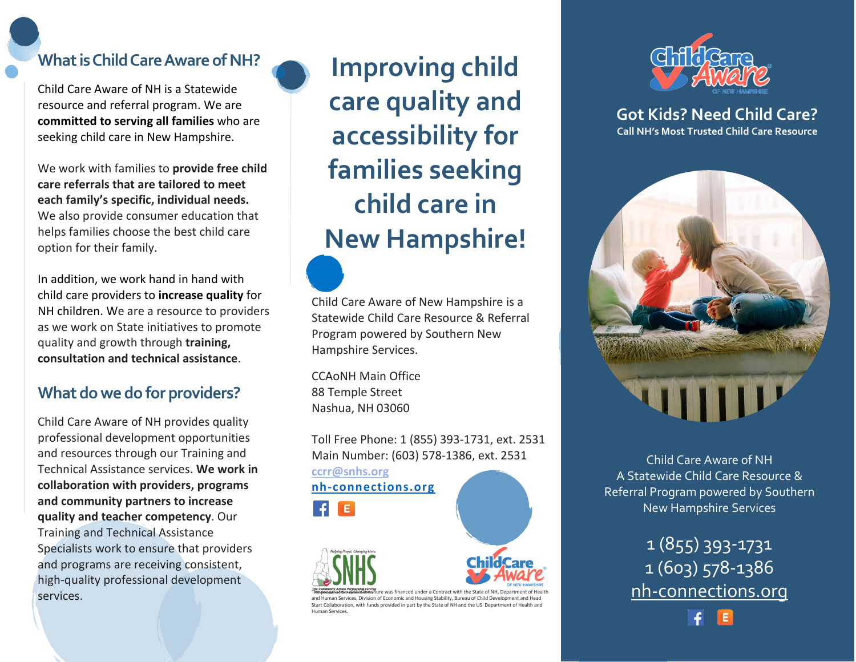### **What is Child Care Aware of NH?**

Child Care Aware of NH is a Statewide resource and referral program. We are **committed to serving all families** who are seeking child care in New Hampshire.

We work with families to **provide free child care referrals that are tailored to meet each family's specific, individual needs.** We also provide consumer education that helps families choose the best child care option for their family.

In addition, we work hand in hand with child care providers to **increase quality** for NH children. We are a resource to providers as we work on State initiatives to promote quality and growth through **training, consultation and technical assistance**.

#### **What dowe do for providers?**

Child Care Aware of NH provides quality professional development opportunities and resources through our Training and Technical Assistance services. **We work in collaboration with providers, programs and community partners to increase quality and teacher competency**. Our Training and Technical Assistance Specialists work to ensure that providers and programs are receiving consistent, high-quality professional development services.

**Improving child care quality and accessibility for families seeking child care in New Hampshire!**

Child Care Aware of New Hampshire is a Statewide Child Care Resource & Referral Program powered by Southern New Hampshire Services.

CCAoNH Main Office 88 Temple Street Nashua, NH 03060

Toll Free Phone: 1 (855) 393-1731, ext. 2531 Main Number: (603) 578-1386, ext. 2531

**[ccrr@snhs.org](mailto:ccrr@snhs.org) nh-connections.org**  E.



Human Services.





**Got Kids? Need Child Care? Call NH's Most Trusted Child Care Resource**



Child Care Aware of NH A Statewide Child Care Resource & Referral Program powered by Southern New Hampshire Services

> 1 (855) 393-1731 1 (603) 578-1386 nh-connections.org